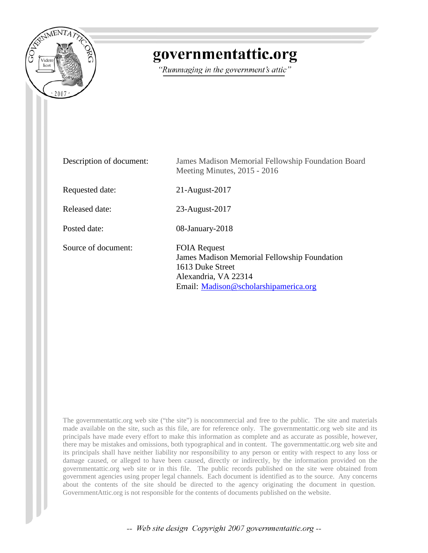

# governmentattic.org

"Rummaging in the government's attic"

| Description of document: | James Madison Memorial Fellowship Foundation Board<br>Meeting Minutes, 2015 - 2016                                                                              |
|--------------------------|-----------------------------------------------------------------------------------------------------------------------------------------------------------------|
| Requested date:          | 21-August-2017                                                                                                                                                  |
| Released date:           | 23-August-2017                                                                                                                                                  |
| Posted date:             | $08$ -January-2018                                                                                                                                              |
| Source of document:      | <b>FOIA Request</b><br><b>James Madison Memorial Fellowship Foundation</b><br>1613 Duke Street<br>Alexandria, VA 22314<br>Email: Madison@scholarshipamerica.org |

The governmentattic.org web site ("the site") is noncommercial and free to the public. The site and materials made available on the site, such as this file, are for reference only. The governmentattic.org web site and its principals have made every effort to make this information as complete and as accurate as possible, however, there may be mistakes and omissions, both typographical and in content. The governmentattic.org web site and its principals shall have neither liability nor responsibility to any person or entity with respect to any loss or damage caused, or alleged to have been caused, directly or indirectly, by the information provided on the governmentattic.org web site or in this file. The public records published on the site were obtained from government agencies using proper legal channels. Each document is identified as to the source. Any concerns about the contents of the site should be directed to the agency originating the document in question. GovernmentAttic.org is not responsible for the contents of documents published on the website.

-- Web site design Copyright 2007 governmentattic.org --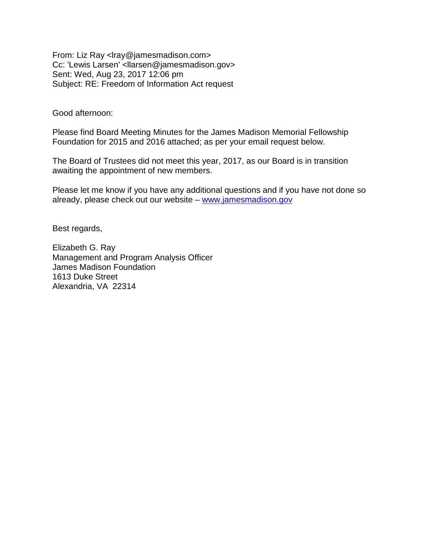From: Liz Ray <lray@jamesmadison.com> Cc: 'Lewis Larsen' <llarsen@jamesmadison.gov> Sent: Wed, Aug 23, 2017 12:06 pm Subject: RE: Freedom of Information Act request

Good afternoon:

Please find Board Meeting Minutes for the James Madison Memorial Fellowship Foundation for 2015 and 2016 attached; as per your email request below.

The Board of Trustees did not meet this year, 2017, as our Board is in transition awaiting the appointment of new members.

Please let me know if you have any additional questions and if you have not done so already, please check out our website – www.jamesmadison.gov

Best regards,

Elizabeth G. Ray Management and Program Analysis Officer James Madison Foundation 1613 Duke Street Alexandria, VA 22314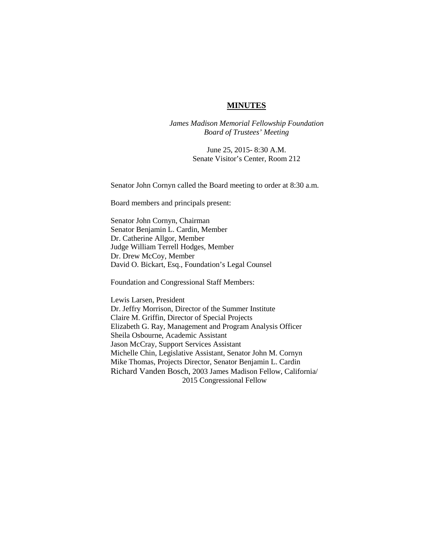## **MINUTES**

*James Madison Memorial Fellowship Foundation Board of Trustees' Meeting*

> June 25, 2015- 8:30 A.M. Senate Visitor's Center, Room 212

Senator John Cornyn called the Board meeting to order at 8:30 a.m.

Board members and principals present:

Senator John Cornyn, Chairman Senator Benjamin L. Cardin, Member Dr. Catherine Allgor, Member Judge William Terrell Hodges, Member Dr. Drew McCoy, Member David O. Bickart, Esq., Foundation's Legal Counsel

Foundation and Congressional Staff Members:

Lewis Larsen, President Dr. Jeffry Morrison, Director of the Summer Institute Claire M. Griffin, Director of Special Projects Elizabeth G. Ray, Management and Program Analysis Officer Sheila Osbourne, Academic Assistant Jason McCray, Support Services Assistant Michelle Chin, Legislative Assistant, Senator John M. Cornyn Mike Thomas, Projects Director, Senator Benjamin L. Cardin Richard Vanden Bosch, 2003 James Madison Fellow, California/ 2015 Congressional Fellow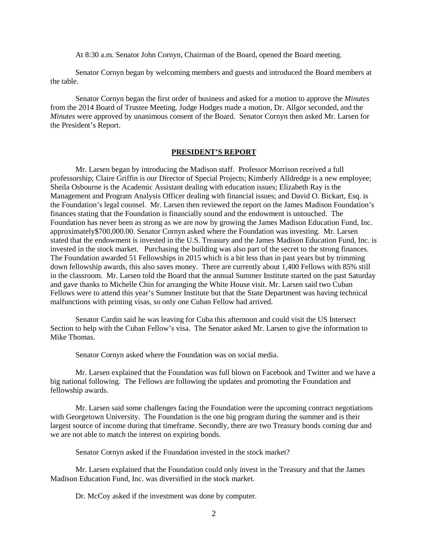At 8:30 a.m. Senator John Cornyn, Chairman of the Board, opened the Board meeting.

Senator Cornyn began by welcoming members and guests and introduced the Board members at the table.

Senator Cornyn began the first order of business and asked for a motion to approve the *Minutes* from the 2014 Board of Trustee Meeting. Judge Hodges made a motion, Dr. Allgor seconded, and the *Minutes* were approved by unanimous consent of the Board. Senator Cornyn then asked Mr. Larsen for the President's Report.

#### **PRESIDENT'S REPORT**

Mr. Larsen began by introducing the Madison staff. Professor Morrison received a full professorship; Claire Griffin is our Director of Special Projects; Kimberly Alldredge is a new employee; Sheila Osbourne is the Academic Assistant dealing with education issues; Elizabeth Ray is the Management and Program Analysis Officer dealing with financial issues; and David O. Bickart, Esq. is the Foundation's legal counsel. Mr. Larsen then reviewed the report on the James Madison Foundation's finances stating that the Foundation is financially sound and the endowment is untouched. The Foundation has never been as strong as we are now by growing the James Madison Education Fund, Inc. approximately\$700,000.00. Senator Cornyn asked where the Foundation was investing. Mr. Larsen stated that the endowment is invested in the U.S. Treasury and the James Madison Education Fund, Inc. is invested in the stock market. Purchasing the building was also part of the secret to the strong finances. The Foundation awarded 51 Fellowships in 2015 which is a bit less than in past years but by trimming down fellowship awards, this also saves money. There are currently about 1,400 Fellows with 85% still in the classroom. Mr. Larsen told the Board that the annual Summer Institute started on the past Saturday and gave thanks to Michelle Chin for arranging the White House visit. Mr. Larsen said two Cuban Fellows were to attend this year's Summer Institute but that the State Department was having technical malfunctions with printing visas, so only one Cuban Fellow had arrived.

Senator Cardin said he was leaving for Cuba this afternoon and could visit the US Intersect Section to help with the Cuban Fellow's visa. The Senator asked Mr. Larsen to give the information to Mike Thomas.

Senator Cornyn asked where the Foundation was on social media.

Mr. Larsen explained that the Foundation was full blown on Facebook and Twitter and we have a big national following. The Fellows are following the updates and promoting the Foundation and fellowship awards.

Mr. Larsen said some challenges facing the Foundation were the upcoming contract negotiations with Georgetown University. The Foundation is the one big program during the summer and is their largest source of income during that timeframe. Secondly, there are two Treasury bonds coming due and we are not able to match the interest on expiring bonds.

Senator Cornyn asked if the Foundation invested in the stock market?

Mr. Larsen explained that the Foundation could only invest in the Treasury and that the James Madison Education Fund, Inc. was diversified in the stock market.

Dr. McCoy asked if the investment was done by computer.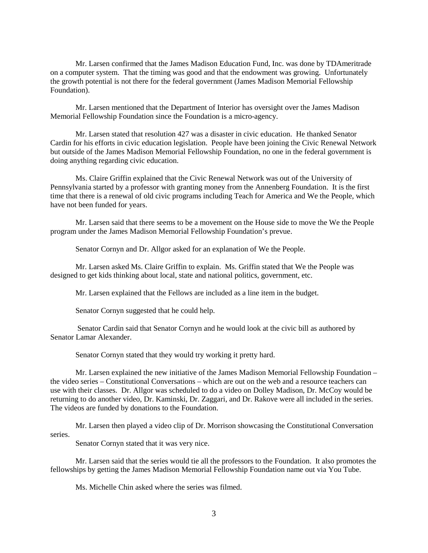Mr. Larsen confirmed that the James Madison Education Fund, Inc. was done by TDAmeritrade on a computer system. That the timing was good and that the endowment was growing. Unfortunately the growth potential is not there for the federal government (James Madison Memorial Fellowship Foundation).

Mr. Larsen mentioned that the Department of Interior has oversight over the James Madison Memorial Fellowship Foundation since the Foundation is a micro-agency.

Mr. Larsen stated that resolution 427 was a disaster in civic education. He thanked Senator Cardin for his efforts in civic education legislation. People have been joining the Civic Renewal Network but outside of the James Madison Memorial Fellowship Foundation, no one in the federal government is doing anything regarding civic education.

Ms. Claire Griffin explained that the Civic Renewal Network was out of the University of Pennsylvania started by a professor with granting money from the Annenberg Foundation. It is the first time that there is a renewal of old civic programs including Teach for America and We the People, which have not been funded for years.

Mr. Larsen said that there seems to be a movement on the House side to move the We the People program under the James Madison Memorial Fellowship Foundation's prevue.

Senator Cornyn and Dr. Allgor asked for an explanation of We the People.

Mr. Larsen asked Ms. Claire Griffin to explain. Ms. Griffin stated that We the People was designed to get kids thinking about local, state and national politics, government, etc.

Mr. Larsen explained that the Fellows are included as a line item in the budget.

Senator Cornyn suggested that he could help.

Senator Cardin said that Senator Cornyn and he would look at the civic bill as authored by Senator Lamar Alexander.

Senator Cornyn stated that they would try working it pretty hard.

Mr. Larsen explained the new initiative of the James Madison Memorial Fellowship Foundation – the video series – Constitutional Conversations – which are out on the web and a resource teachers can use with their classes. Dr. Allgor was scheduled to do a video on Dolley Madison, Dr. McCoy would be returning to do another video, Dr. Kaminski, Dr. Zaggari, and Dr. Rakove were all included in the series. The videos are funded by donations to the Foundation.

Mr. Larsen then played a video clip of Dr. Morrison showcasing the Constitutional Conversation series.

Senator Cornyn stated that it was very nice.

Mr. Larsen said that the series would tie all the professors to the Foundation. It also promotes the fellowships by getting the James Madison Memorial Fellowship Foundation name out via You Tube.

Ms. Michelle Chin asked where the series was filmed.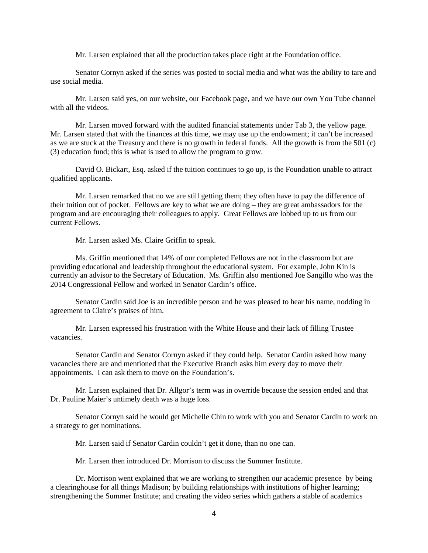Mr. Larsen explained that all the production takes place right at the Foundation office.

Senator Cornyn asked if the series was posted to social media and what was the ability to tare and use social media.

Mr. Larsen said yes, on our website, our Facebook page, and we have our own You Tube channel with all the videos.

Mr. Larsen moved forward with the audited financial statements under Tab 3, the yellow page. Mr. Larsen stated that with the finances at this time, we may use up the endowment; it can't be increased as we are stuck at the Treasury and there is no growth in federal funds. All the growth is from the 501 (c) (3) education fund; this is what is used to allow the program to grow.

David O. Bickart, Esq. asked if the tuition continues to go up, is the Foundation unable to attract qualified applicants.

Mr. Larsen remarked that no we are still getting them; they often have to pay the difference of their tuition out of pocket. Fellows are key to what we are doing – they are great ambassadors for the program and are encouraging their colleagues to apply. Great Fellows are lobbed up to us from our current Fellows.

Mr. Larsen asked Ms. Claire Griffin to speak.

Ms. Griffin mentioned that 14% of our completed Fellows are not in the classroom but are providing educational and leadership throughout the educational system. For example, John Kin is currently an advisor to the Secretary of Education. Ms. Griffin also mentioned Joe Sangillo who was the 2014 Congressional Fellow and worked in Senator Cardin's office.

Senator Cardin said Joe is an incredible person and he was pleased to hear his name, nodding in agreement to Claire's praises of him.

Mr. Larsen expressed his frustration with the White House and their lack of filling Trustee vacancies.

Senator Cardin and Senator Cornyn asked if they could help. Senator Cardin asked how many vacancies there are and mentioned that the Executive Branch asks him every day to move their appointments. I can ask them to move on the Foundation's.

Mr. Larsen explained that Dr. Allgor's term was in override because the session ended and that Dr. Pauline Maier's untimely death was a huge loss.

Senator Cornyn said he would get Michelle Chin to work with you and Senator Cardin to work on a strategy to get nominations.

Mr. Larsen said if Senator Cardin couldn't get it done, than no one can.

Mr. Larsen then introduced Dr. Morrison to discuss the Summer Institute.

Dr. Morrison went explained that we are working to strengthen our academic presence by being a clearinghouse for all things Madison; by building relationships with institutions of higher learning; strengthening the Summer Institute; and creating the video series which gathers a stable of academics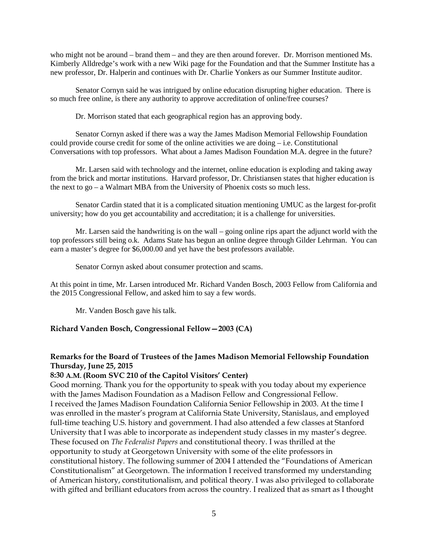who might not be around – brand them – and they are then around forever. Dr. Morrison mentioned Ms. Kimberly Alldredge's work with a new Wiki page for the Foundation and that the Summer Institute has a new professor, Dr. Halperin and continues with Dr. Charlie Yonkers as our Summer Institute auditor.

Senator Cornyn said he was intrigued by online education disrupting higher education. There is so much free online, is there any authority to approve accreditation of online/free courses?

Dr. Morrison stated that each geographical region has an approving body.

Senator Cornyn asked if there was a way the James Madison Memorial Fellowship Foundation could provide course credit for some of the online activities we are doing – i.e. Constitutional Conversations with top professors. What about a James Madison Foundation M.A. degree in the future?

Mr. Larsen said with technology and the internet, online education is exploding and taking away from the brick and mortar institutions. Harvard professor, Dr. Christiansen states that higher education is the next to go – a Walmart MBA from the University of Phoenix costs so much less.

Senator Cardin stated that it is a complicated situation mentioning UMUC as the largest for-profit university; how do you get accountability and accreditation; it is a challenge for universities.

Mr. Larsen said the handwriting is on the wall – going online rips apart the adjunct world with the top professors still being o.k. Adams State has begun an online degree through Gilder Lehrman. You can earn a master's degree for \$6,000.00 and yet have the best professors available.

Senator Cornyn asked about consumer protection and scams.

At this point in time, Mr. Larsen introduced Mr. Richard Vanden Bosch, 2003 Fellow from California and the 2015 Congressional Fellow, and asked him to say a few words.

Mr. Vanden Bosch gave his talk.

**Richard Vanden Bosch, Congressional Fellow—2003 (CA)** 

## **Remarks for the Board of Trustees of the James Madison Memorial Fellowship Foundation Thursday, June 25, 2015**

## **8:30 A.M. (Room SVC 210 of the Capitol Visitors' Center)**

Good morning. Thank you for the opportunity to speak with you today about my experience with the James Madison Foundation as a Madison Fellow and Congressional Fellow. I received the James Madison Foundation California Senior Fellowship in 2003. At the time I was enrolled in the master's program at California State University, Stanislaus, and employed full-time teaching U.S. history and government. I had also attended a few classes at Stanford University that I was able to incorporate as independent study classes in my master's degree. These focused on *The Federalist Papers* and constitutional theory. I was thrilled at the opportunity to study at Georgetown University with some of the elite professors in constitutional history. The following summer of 2004 I attended the "Foundations of American Constitutionalism" at Georgetown. The information I received transformed my understanding of American history, constitutionalism, and political theory. I was also privileged to collaborate with gifted and brilliant educators from across the country. I realized that as smart as I thought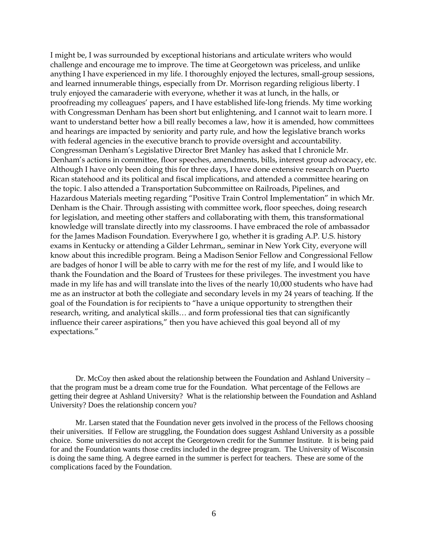I might be, I was surrounded by exceptional historians and articulate writers who would challenge and encourage me to improve. The time at Georgetown was priceless, and unlike anything I have experienced in my life. I thoroughly enjoyed the lectures, small-group sessions, and learned innumerable things, especially from Dr. Morrison regarding religious liberty. I truly enjoyed the camaraderie with everyone, whether it was at lunch, in the halls, or proofreading my colleagues' papers, and I have established life-long friends. My time working with Congressman Denham has been short but enlightening, and I cannot wait to learn more. I want to understand better how a bill really becomes a law, how it is amended, how committees and hearings are impacted by seniority and party rule, and how the legislative branch works with federal agencies in the executive branch to provide oversight and accountability. Congressman Denham's Legislative Director Bret Manley has asked that I chronicle Mr. Denham's actions in committee, floor speeches, amendments, bills, interest group advocacy, etc. Although I have only been doing this for three days, I have done extensive research on Puerto Rican statehood and its political and fiscal implications, and attended a committee hearing on the topic. I also attended a Transportation Subcommittee on Railroads, Pipelines, and Hazardous Materials meeting regarding "Positive Train Control Implementation" in which Mr. Denham is the Chair. Through assisting with committee work, floor speeches, doing research for legislation, and meeting other staffers and collaborating with them, this transformational knowledge will translate directly into my classrooms. I have embraced the role of ambassador for the James Madison Foundation. Everywhere I go, whether it is grading A.P. U.S. history exams in Kentucky or attending a Gilder Lehrman,, seminar in New York City, everyone will know about this incredible program. Being a Madison Senior Fellow and Congressional Fellow are badges of honor I will be able to carry with me for the rest of my life, and I would like to thank the Foundation and the Board of Trustees for these privileges. The investment you have made in my life has and will translate into the lives of the nearly 10,000 students who have had me as an instructor at both the collegiate and secondary levels in my 24 years of teaching. If the goal of the Foundation is for recipients to "have a unique opportunity to strengthen their research, writing, and analytical skills… and form professional ties that can significantly influence their career aspirations," then you have achieved this goal beyond all of my expectations."

Dr. McCoy then asked about the relationship between the Foundation and Ashland University – that the program must be a dream come true for the Foundation. What percentage of the Fellows are getting their degree at Ashland University? What is the relationship between the Foundation and Ashland University? Does the relationship concern you?

Mr. Larsen stated that the Foundation never gets involved in the process of the Fellows choosing their universities. If Fellow are struggling, the Foundation does suggest Ashland University as a possible choice. Some universities do not accept the Georgetown credit for the Summer Institute. It is being paid for and the Foundation wants those credits included in the degree program. The University of Wisconsin is doing the same thing. A degree earned in the summer is perfect for teachers. These are some of the complications faced by the Foundation.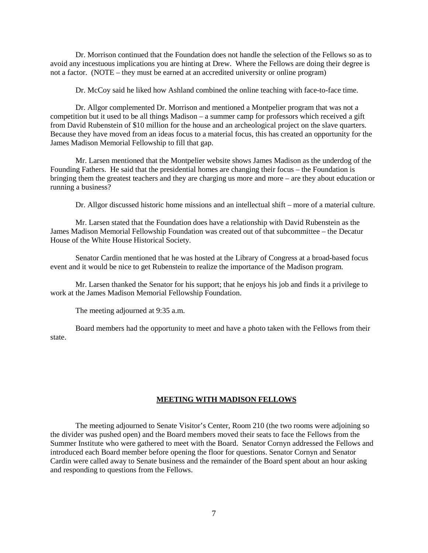Dr. Morrison continued that the Foundation does not handle the selection of the Fellows so as to avoid any incestuous implications you are hinting at Drew. Where the Fellows are doing their degree is not a factor. (NOTE – they must be earned at an accredited university or online program)

Dr. McCoy said he liked how Ashland combined the online teaching with face-to-face time.

Dr. Allgor complemented Dr. Morrison and mentioned a Montpelier program that was not a competition but it used to be all things Madison – a summer camp for professors which received a gift from David Rubenstein of \$10 million for the house and an archeological project on the slave quarters. Because they have moved from an ideas focus to a material focus, this has created an opportunity for the James Madison Memorial Fellowship to fill that gap.

Mr. Larsen mentioned that the Montpelier website shows James Madison as the underdog of the Founding Fathers. He said that the presidential homes are changing their focus – the Foundation is bringing them the greatest teachers and they are charging us more and more – are they about education or running a business?

Dr. Allgor discussed historic home missions and an intellectual shift – more of a material culture.

Mr. Larsen stated that the Foundation does have a relationship with David Rubenstein as the James Madison Memorial Fellowship Foundation was created out of that subcommittee – the Decatur House of the White House Historical Society.

Senator Cardin mentioned that he was hosted at the Library of Congress at a broad-based focus event and it would be nice to get Rubenstein to realize the importance of the Madison program.

Mr. Larsen thanked the Senator for his support; that he enjoys his job and finds it a privilege to work at the James Madison Memorial Fellowship Foundation.

The meeting adjourned at 9:35 a.m.

Board members had the opportunity to meet and have a photo taken with the Fellows from their state.

### **MEETING WITH MADISON FELLOWS**

The meeting adjourned to Senate Visitor's Center, Room 210 (the two rooms were adjoining so the divider was pushed open) and the Board members moved their seats to face the Fellows from the Summer Institute who were gathered to meet with the Board. Senator Cornyn addressed the Fellows and introduced each Board member before opening the floor for questions. Senator Cornyn and Senator Cardin were called away to Senate business and the remainder of the Board spent about an hour asking and responding to questions from the Fellows.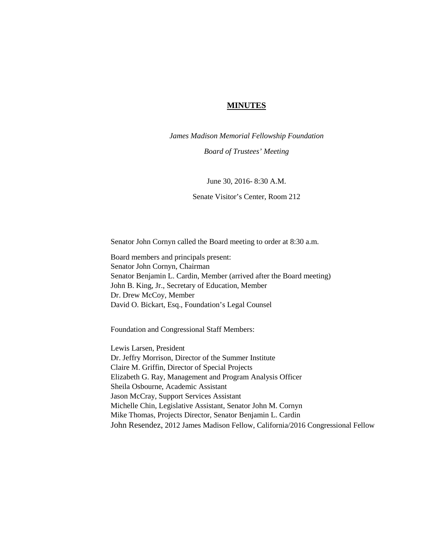## **MINUTES**

*James Madison Memorial Fellowship Foundation Board of Trustees' Meeting*

June 30, 2016- 8:30 A.M.

Senate Visitor's Center, Room 212

Senator John Cornyn called the Board meeting to order at 8:30 a.m.

Board members and principals present: Senator John Cornyn, Chairman Senator Benjamin L. Cardin, Member (arrived after the Board meeting) John B. King, Jr., Secretary of Education, Member Dr. Drew McCoy, Member David O. Bickart, Esq., Foundation's Legal Counsel

Foundation and Congressional Staff Members:

Lewis Larsen, President Dr. Jeffry Morrison, Director of the Summer Institute Claire M. Griffin, Director of Special Projects Elizabeth G. Ray, Management and Program Analysis Officer Sheila Osbourne, Academic Assistant Jason McCray, Support Services Assistant Michelle Chin, Legislative Assistant, Senator John M. Cornyn Mike Thomas, Projects Director, Senator Benjamin L. Cardin John Resendez, 2012 James Madison Fellow, California/2016 Congressional Fellow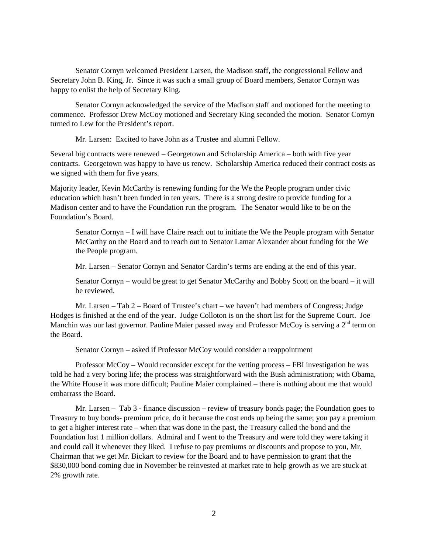Senator Cornyn welcomed President Larsen, the Madison staff, the congressional Fellow and Secretary John B. King, Jr. Since it was such a small group of Board members, Senator Cornyn was happy to enlist the help of Secretary King.

Senator Cornyn acknowledged the service of the Madison staff and motioned for the meeting to commence. Professor Drew McCoy motioned and Secretary King seconded the motion. Senator Cornyn turned to Lew for the President's report.

Mr. Larsen: Excited to have John as a Trustee and alumni Fellow.

Several big contracts were renewed – Georgetown and Scholarship America – both with five year contracts. Georgetown was happy to have us renew. Scholarship America reduced their contract costs as we signed with them for five years.

Majority leader, Kevin McCarthy is renewing funding for the We the People program under civic education which hasn't been funded in ten years. There is a strong desire to provide funding for a Madison center and to have the Foundation run the program. The Senator would like to be on the Foundation's Board.

Senator Cornyn – I will have Claire reach out to initiate the We the People program with Senator McCarthy on the Board and to reach out to Senator Lamar Alexander about funding for the We the People program.

Mr. Larsen – Senator Cornyn and Senator Cardin's terms are ending at the end of this year.

Senator Cornyn – would be great to get Senator McCarthy and Bobby Scott on the board – it will be reviewed.

Mr. Larsen – Tab 2 – Board of Trustee's chart – we haven't had members of Congress; Judge Hodges is finished at the end of the year. Judge Colloton is on the short list for the Supreme Court. Joe Manchin was our last governor. Pauline Maier passed away and Professor McCoy is serving a 2<sup>nd</sup> term on the Board.

Senator Cornyn – asked if Professor McCoy would consider a reappointment

Professor McCoy – Would reconsider except for the vetting process – FBI investigation he was told he had a very boring life; the process was straightforward with the Bush administration; with Obama, the White House it was more difficult; Pauline Maier complained – there is nothing about me that would embarrass the Board.

Mr. Larsen – Tab 3 - finance discussion – review of treasury bonds page; the Foundation goes to Treasury to buy bonds- premium price, do it because the cost ends up being the same; you pay a premium to get a higher interest rate – when that was done in the past, the Treasury called the bond and the Foundation lost 1 million dollars. Admiral and I went to the Treasury and were told they were taking it and could call it whenever they liked. I refuse to pay premiums or discounts and propose to you, Mr. Chairman that we get Mr. Bickart to review for the Board and to have permission to grant that the \$830,000 bond coming due in November be reinvested at market rate to help growth as we are stuck at 2% growth rate.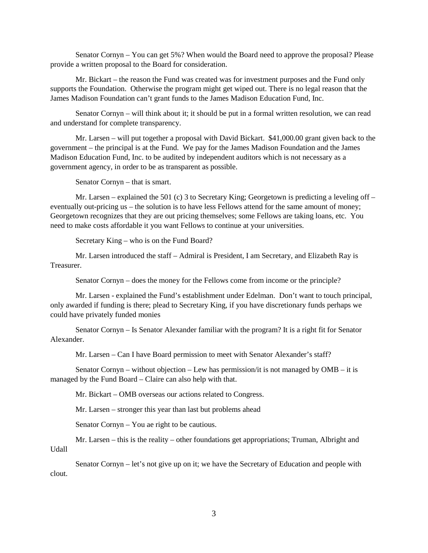Senator Cornyn – You can get 5%? When would the Board need to approve the proposal? Please provide a written proposal to the Board for consideration.

Mr. Bickart – the reason the Fund was created was for investment purposes and the Fund only supports the Foundation. Otherwise the program might get wiped out. There is no legal reason that the James Madison Foundation can't grant funds to the James Madison Education Fund, Inc.

Senator Cornyn – will think about it; it should be put in a formal written resolution, we can read and understand for complete transparency.

Mr. Larsen – will put together a proposal with David Bickart. \$41,000.00 grant given back to the government – the principal is at the Fund. We pay for the James Madison Foundation and the James Madison Education Fund, Inc. to be audited by independent auditors which is not necessary as a government agency, in order to be as transparent as possible.

Senator Cornyn – that is smart.

Mr. Larsen – explained the 501 (c) 3 to Secretary King; Georgetown is predicting a leveling of  $$ eventually out-pricing us – the solution is to have less Fellows attend for the same amount of money; Georgetown recognizes that they are out pricing themselves; some Fellows are taking loans, etc. You need to make costs affordable it you want Fellows to continue at your universities.

Secretary King – who is on the Fund Board?

Mr. Larsen introduced the staff – Admiral is President, I am Secretary, and Elizabeth Ray is Treasurer.

Senator Cornyn – does the money for the Fellows come from income or the principle?

Mr. Larsen - explained the Fund's establishment under Edelman. Don't want to touch principal, only awarded if funding is there; plead to Secretary King, if you have discretionary funds perhaps we could have privately funded monies

Senator Cornyn – Is Senator Alexander familiar with the program? It is a right fit for Senator Alexander.

Mr. Larsen – Can I have Board permission to meet with Senator Alexander's staff?

Senator Cornyn – without objection – Lew has permission/it is not managed by OMB – it is managed by the Fund Board – Claire can also help with that.

Mr. Bickart – OMB overseas our actions related to Congress.

Mr. Larsen – stronger this year than last but problems ahead

Senator Cornyn – You ae right to be cautious.

Mr. Larsen – this is the reality – other foundations get appropriations; Truman, Albright and Udall

Senator Cornyn – let's not give up on it; we have the Secretary of Education and people with clout.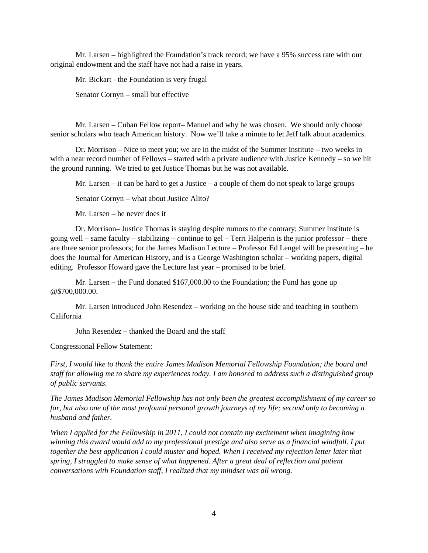Mr. Larsen – highlighted the Foundation's track record; we have a 95% success rate with our original endowment and the staff have not had a raise in years.

Mr. Bickart - the Foundation is very frugal Senator Cornyn – small but effective

Mr. Larsen – Cuban Fellow report– Manuel and why he was chosen. We should only choose senior scholars who teach American history. Now we'll take a minute to let Jeff talk about academics.

Dr. Morrison – Nice to meet you; we are in the midst of the Summer Institute – two weeks in with a near record number of Fellows – started with a private audience with Justice Kennedy – so we hit the ground running. We tried to get Justice Thomas but he was not available.

Mr. Larsen – it can be hard to get a Justice – a couple of them do not speak to large groups

Senator Cornyn – what about Justice Alito?

Mr. Larsen – he never does it

Dr. Morrison– Justice Thomas is staying despite rumors to the contrary; Summer Institute is going well – same faculty – stabilizing – continue to gel – Terri Halperin is the junior professor – there are three senior professors; for the James Madison Lecture – Professor Ed Lengel will be presenting – he does the Journal for American History, and is a George Washington scholar – working papers, digital editing. Professor Howard gave the Lecture last year – promised to be brief.

Mr. Larsen – the Fund donated \$167,000.00 to the Foundation; the Fund has gone up @\$700,000.00.

Mr. Larsen introduced John Resendez – working on the house side and teaching in southern California

John Resendez – thanked the Board and the staff

Congressional Fellow Statement:

*First, I would like to thank the entire James Madison Memorial Fellowship Foundation; the board and staff for allowing me to share my experiences today. I am honored to address such a distinguished group of public servants.*

*The James Madison Memorial Fellowship has not only been the greatest accomplishment of my career so far, but also one of the most profound personal growth journeys of my life; second only to becoming a husband and father.*

*When I applied for the Fellowship in 2011, I could not contain my excitement when imagining how winning this award would add to my professional prestige and also serve as a financial windfall. I put together the best application I could muster and hoped. When I received my rejection letter later that spring, I struggled to make sense of what happened. After a great deal of reflection and patient conversations with Foundation staff, I realized that my mindset was all wrong.*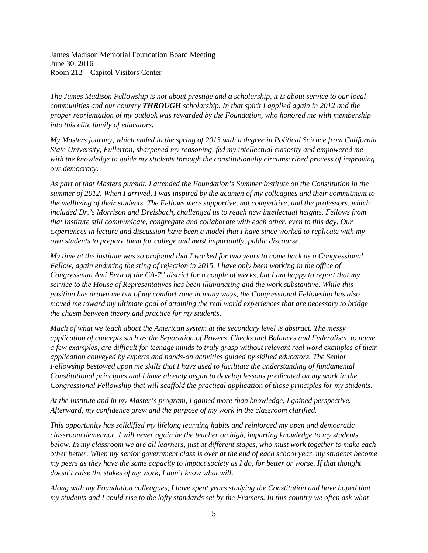James Madison Memorial Foundation Board Meeting June 30, 2016 Room 212 – Capitol Visitors Center

*The James Madison Fellowship is not about prestige and a scholarship, it is about service to our local communities and our country THROUGH scholarship. In that spirit I applied again in 2012 and the proper reorientation of my outlook was rewarded by the Foundation, who honored me with membership into this elite family of educators.*

*My Masters journey, which ended in the spring of 2013 with a degree in Political Science from California State University, Fullerton, sharpened my reasoning, fed my intellectual curiosity and empowered me with the knowledge to guide my students through the constitutionally circumscribed process of improving our democracy.* 

*As part of that Masters pursuit, I attended the Foundation's Summer Institute on the Constitution in the summer of 2012. When I arrived, I was inspired by the acumen of my colleagues and their commitment to the wellbeing of their students. The Fellows were supportive, not competitive, and the professors, which included Dr.'s Morrison and Dreisbach, challenged us to reach new intellectual heights. Fellows from that Institute still communicate, congregate and collaborate with each other, even to this day. Our experiences in lecture and discussion have been a model that I have since worked to replicate with my own students to prepare them for college and most importantly, public discourse.*

*My time at the institute was so profound that I worked for two years to come back as a Congressional Fellow, again enduring the sting of rejection in 2015. I have only been working in the office of Congressman Ami Bera of the CA-7th district for a couple of weeks, but I am happy to report that my service to the House of Representatives has been illuminating and the work substantive. While this position has drawn me out of my comfort zone in many ways, the Congressional Fellowship has also moved me toward my ultimate goal of attaining the real world experiences that are necessary to bridge the chasm between theory and practice for my students.* 

*Much of what we teach about the American system at the secondary level is abstract. The messy application of concepts such as the Separation of Powers, Checks and Balances and Federalism, to name a few examples, are difficult for teenage minds to truly grasp without relevant real word examples of their application conveyed by experts and hands-on activities guided by skilled educators. The Senior Fellowship bestowed upon me skills that I have used to facilitate the understanding of fundamental Constitutional principles and I have already begun to develop lessons predicated on my work in the Congressional Fellowship that will scaffold the practical application of those principles for my students.*

*At the institute and in my Master's program, I gained more than knowledge, I gained perspective. Afterward, my confidence grew and the purpose of my work in the classroom clarified.* 

*This opportunity has solidified my lifelong learning habits and reinforced my open and democratic classroom demeanor. I will never again be the teacher on high, imparting knowledge to my students below. In my classroom we are all learners, just at different stages, who must work together to make each other better. When my senior government class is over at the end of each school year, my students become my peers as they have the same capacity to impact society as I do, for better or worse. If that thought doesn't raise the stakes of my work, I don't know what will.*

*Along with my Foundation colleagues, I have spent years studying the Constitution and have hoped that my students and I could rise to the lofty standards set by the Framers. In this country we often ask what*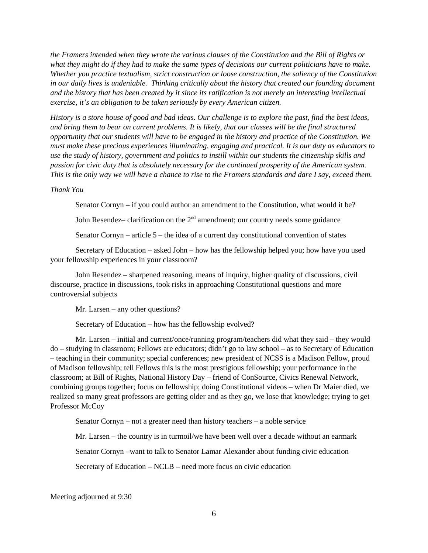*the Framers intended when they wrote the various clauses of the Constitution and the Bill of Rights or what they might do if they had to make the same types of decisions our current politicians have to make. Whether you practice textualism, strict construction or loose construction, the saliency of the Constitution in our daily lives is undeniable. Thinking critically about the history that created our founding document and the history that has been created by it since its ratification is not merely an interesting intellectual exercise, it's an obligation to be taken seriously by every American citizen.* 

*History is a store house of good and bad ideas. Our challenge is to explore the past, find the best ideas, and bring them to bear on current problems. It is likely, that our classes will be the final structured opportunity that our students will have to be engaged in the history and practice of the Constitution. We must make these precious experiences illuminating, engaging and practical. It is our duty as educators to use the study of history, government and politics to instill within our students the citizenship skills and passion for civic duty that is absolutely necessary for the continued prosperity of the American system. This is the only way we will have a chance to rise to the Framers standards and dare I say, exceed them.* 

### *Thank You*

Senator Cornyn – if you could author an amendment to the Constitution, what would it be?

John Resendez– clarification on the  $2<sup>nd</sup>$  amendment; our country needs some guidance

Senator Cornyn – article 5 – the idea of a current day constitutional convention of states

Secretary of Education – asked John – how has the fellowship helped you; how have you used your fellowship experiences in your classroom?

John Resendez – sharpened reasoning, means of inquiry, higher quality of discussions, civil discourse, practice in discussions, took risks in approaching Constitutional questions and more controversial subjects

Mr. Larsen – any other questions?

Secretary of Education – how has the fellowship evolved?

Mr. Larsen – initial and current/once/running program/teachers did what they said – they would do – studying in classroom; Fellows are educators; didn't go to law school – as to Secretary of Education – teaching in their community; special conferences; new president of NCSS is a Madison Fellow, proud of Madison fellowship; tell Fellows this is the most prestigious fellowship; your performance in the classroom; at Bill of Rights, National History Day – friend of ConSource, Civics Renewal Network, combining groups together; focus on fellowship; doing Constitutional videos – when Dr Maier died, we realized so many great professors are getting older and as they go, we lose that knowledge; trying to get Professor McCoy

Senator Cornyn – not a greater need than history teachers – a noble service

Mr. Larsen – the country is in turmoil/we have been well over a decade without an earmark

Senator Cornyn –want to talk to Senator Lamar Alexander about funding civic education

Secretary of Education – NCLB – need more focus on civic education

Meeting adjourned at 9:30